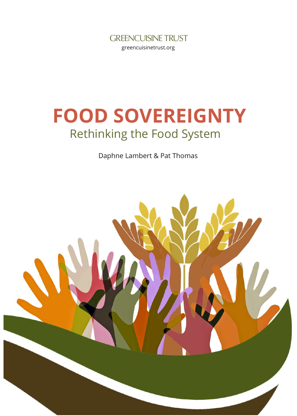

# **FOOD SOVEREIGNTY** Rethinking the Food System

Daphne Lambert & Pat Thomas

<span id="page-0-0"></span>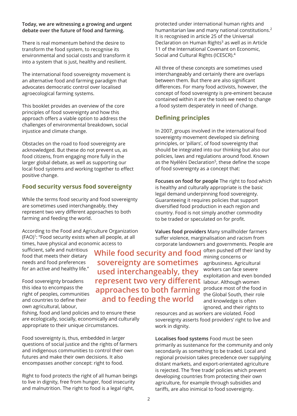#### **Today, we are witnessing a growing and urgent debate over the future of food and farming.**

There is real momentum behind the desire to transform the food system, to recognise its environmental and social costs and transform it into a system that is just, healthy and resilient.

The international food sovereignty movement is an alternative food and farming paradigm that advocates democratic control over localised agroecological farming systems.

This booklet provides an overview of the core principles of food sovereignty and how this approach offers a viable option to address the challenges of environmental breakdown, social injustice and climate change.

Obstacles on the road to food sovereignty are acknowledged. But these do not prevent us, as food citizens, from engaging more fully in the larger global debate, as well as supporting our local food systems and working together to effect positive change.

#### **Food security versus food sovereignty**

While the terms food security and food sovereignty are sometimes used interchangeably, they represent two very different approaches to both farming and feeding the world.

According to the Food and Agriculture Organization (FAO) 1 : "Food security exists when all people, at all times, have physical and economic access to

sufficient, safe and nutritious food that meets their dietary needs and food preferences for an active and healthy life."

Food sovereignty broadens this idea to encompass the right of peoples, communities and countries to define their own agricultural, labour,

fishing, food and land policies and to ensure these are ecologically, socially, economically and culturally appropriate to their unique circumstances.

Food sovereignty is, thus, embedded in larger questions of social justice and the rights of farmers and indigenous communities to control their own futures and make their own decisions. It also encompasses another concept: right to food.

Right to food protects the right of all human beings to live in dignity, free from hunger, food insecurity and malnutrition. The right to food is a legal right,

**While food security and food** mining concerns or **represent two very different** labour. Although women **sovereignty are sometimes used interchangeably, they approaches to both farming and to feeding the world**

protected under international human rights and humanitarian law and many national constitutions. 2 It is recognised in article 25 of the Universal Declaration on Human Rights 3 as well as in Article 11 of the International Covenant on Economic, Social and Cultural Rights (ICESCR). 4

All three of these concepts are sometimes used interchangeably and certainly there are overlaps between them. But there are also significant differences. For many food activists, however, the concept of food sovereignty is pre-eminent because contained within it are the tools we need to change a food system desperately in need of change.

#### **Defining principles**

In 2007, groups involved in the international food sovereignty movement developed six defining principles, or 'pillars', of food sovereignty that should be integrated into our thinking but also our policies, laws and regulations around food. Known as the Nyéléni Declaration<sup>5</sup>, these define the scope of food sovereignty as a concept that:

**Focuses on food for people** The right to food which is healthy and culturally appropriate is the basic legal demand underpinning food sovereignty. Guaranteeing it requires policies that support diversified food production in each region and country. Food is not simply another commodity to be traded or speculated on for profit.

**Values food providers** Many smallholder farmers suffer violence, marginalisation and racism from corporate landowners and governments. People are

> mining concerns or agribusiness. Agricultural workers can face severe exploitation and even bonded produce most of the food in the Global South, their role and knowledge is often ignored, and their rights to

resources and as workers are violated. Food sovereignty asserts food providers' right to live and work in dignity.

**Localises food systems** Food must be seen primarily as sustenance for the community and only secondarily as something to be traded. Local and regional provision takes precedence over supplying distant markets, and export-orientated agriculture is rejected. The 'free trade' policies which prevent developing countries from protecting their own agriculture, for example through subsidies and tariffs, are also inimical to food sovereignty.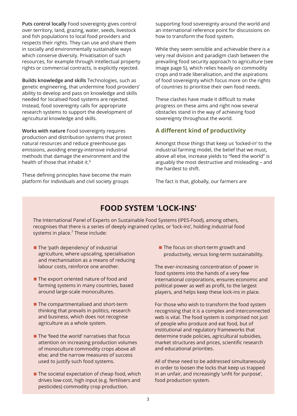**Puts control locally** Food sovereignty gives control over territory, land, grazing, water, seeds, livestock and fish populations to local food providers and respects their rights. They can use and share them in socially and environmentally sustainable ways which conserve diversity. Privatisation of such resources, for example through intellectual property rights or commercial contracts, is explicitly rejected.

**Builds knowledge and skills** Technologies, such as genetic engineering, that undermine food providers' ability to develop and pass on knowledge and skills needed for localised food systems are rejected. Instead, food sovereignty calls for appropriate research systems to support the development of agricultural knowledge and skills.

**Works with nature** Food sovereignty requires production and distribution systems that protect natural resources and reduce greenhouse gas emissions, avoiding energy-intensive industrial methods that damage the environment and the health of those that inhabit it. 6

These defining principles have become the main platform for individuals and civil society groups

supporting food sovereignty around the world and an international reference point for discussions on how to transform the food system.

While they seem sensible and achievable there is a very real division and paradigm clash between the prevailing food security approach to agriculture (see image page 5), which relies heavily on commodity crops and trade liberalisation, and the aspirations of food sovereignty which focus more on the rights of countries to prioritise their own food needs.

These clashes have made it difficult to make progress on these aims and right now several obstacles stand in the way of achieving food sovereignty throughout the world.

#### **A different kind of productivity**

Amongst those things that keep us 'locked-in' to the industrial farming model, the belief that we must, above all else, increase yields to "feed the world" is arguably the most destructive and misleading – and the hardest to shift.

The fact is that, globally, our farmers are

# **FOOD SYSTEM 'LOCK-INS'**

The International Panel of Experts on Sustainable Food Systems (IPES-Food), among others, recognises that there is a series of deeply ingrained cycles, or 'lock-ins', holding industrial food systems in place. 7 These include:

- $\blacksquare$  The 'path dependency' of industrial agriculture, where upscaling, specialisation and mechanisation as a means of reducing labour costs, reinforce one another.
- The export oriented nature of food and farming systems in many countries, based around large-scale monocultures.
- $\blacksquare$  The compartmentalised and short-term thinking that prevails in politics, research and business, which does not recognise agriculture as a whole system.
- $\blacksquare$  The 'feed the world' narratives that focus attention on increasing production volumes of monoculture commodity crops above all else; and the narrow measures of success used to justify such food systems.
- The societal expectation of cheap food, which drives low-cost, high input (e.g. fertilisers and pesticides) commodity crop production.

 $\blacksquare$  The focus on short-term growth and productivity, versus long-term sustainability.

The ever-increasing concentration of power in food systems into the hands of a very few international corporations, ensures economic and political power as well as profit, to the largest players, and helps keep these lock-ins in place.

For those who wish to transform the food system recognising that it is a complex and interconnected web is vital. The food system is comprised not just of people who produce and eat food, but of institutional and regulatory frameworks that determine trade policies, agricultural subsidies, market structures and prices, scientific research and educational priorities.

All of these need to be addressed simultaneously in order to loosen the locks that keep us trapped in an unfair, and increasingly 'unfit for purpose', food production system.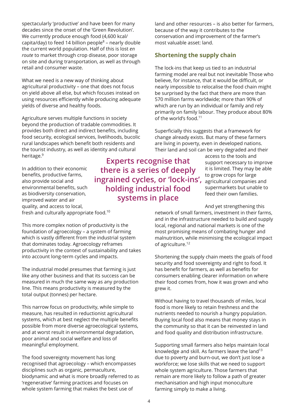spectacularly 'productive' and have been for many decades since the onset of the 'Green Revolution'. We currently produce enough food (4,600 kcal/ capita/day) to feed 14 billion people 8 – nearly double the current world population. Half of this is lost *en route* to market through crop disease, poor storage on site and during transportation, as well as through retail and consumer waste.

What we need is a new way of thinking about agricultural productivity – one that does not focus on yield above all else, but which focuses instead on using resources efficiently while producing adequate yields of diverse and healthy foods.

Agriculture serves multiple functions in society beyond the production of tradable commodities. It provides both direct and indirect benefits, including food security, ecological services, livelihoods, bucolic rural landscapes which benefit both residents and the tourist industry, as well as identity and cultural heritage. 9

In addition to their economic benefits, productive farms, also provide social and environmental benefits, such as biodiversity conservation, improved water and air quality, and access to local, fresh and culturally appropriate food. 10

**Experts recognise that there is a series of deeply ingrained cycles, or 'lock-ins', holding industrial food systems in place**

access to the tools and support necessary to improve it is limited. They may be able to grow crops for large agricultural companies and supermarkets but unable to feed their own families.

And yet strengthening this network of small farmers, investment in their farms, and in the infrastructure needed to build and supply local, regional and national markets is one of the most promising means of combating hunger and

Shortening the supply chain meets the goals of food security and food sovereignty and right to food. It has benefit for farmers, as well as benefits for consumers enabling clearer information on where their food comes from, how it was grown and who grew it.

malnutrition, while minimising the ecological impact

Without having to travel thousands of miles, local food is more likely to retain freshness and the nutrients needed to nourish a hungry population. Buying local food also means that money stays in the community so that it can be reinvested in land and food quality and distribution infrastructure.

Supporting small farmers also helps maintain local knowledge and skill. As farmers leave the land 13 due to poverty and burn-out, we don't just lose a workforce; we lose skills that we need to support whole system agriculture. Those farmers that remain are more likely to follow a path of greater mechanisation and high input monoculture farming simply to make a living.

foundation of agroecology – a system of farming which is vastly different from the industrial system that dominates today. Agroecology reframes productivity in the context of sustainability and takes into account long-term cycles and impacts. The industrial model presumes that farming is just

This more complex notion of productivity is the

like any other business and that its success can be measured in much the same way as any production line. This means productivity is measured by the total output (tonnes) per hectare.

This narrow focus on productivity, while simple to measure, has resulted in reductionist agricultural systems, which at best neglect the multiple benefits possible from more diverse agroecological systems, and at worst result in environmental degradation, poor animal and social welfare and loss of meaningful employment.

The food sovereignty movement has long recognised that agroecology – which encompasses disciplines such as organic, permaculture, biodynamic and what is more broadly referred to as 'regenerative' farming practices and focuses on whole system farming that makes the best use of

of agriculture. 12

land and other resources – is also better for farmers, because of the way it contributes to the conservation and improvement of the farmer's most valuable asset: land.

## **Shortening the supply chain**

The lock-ins that keep us tied to an industrial farming model are real but not inevitable Those who believe, for instance, that it would be difficult, or nearly impossible to relocalise the food chain might be surprised by the fact that there are more than 570 million farms worldwide; more than 90% of which are run by an individual or family and rely primarily on family labour. They produce about 80% of the world's food. 11

Superficially this suggests that a framework for change already exists. But many of these farmers are living in poverty, even in developed nations. Their land and soil can be very degraded and their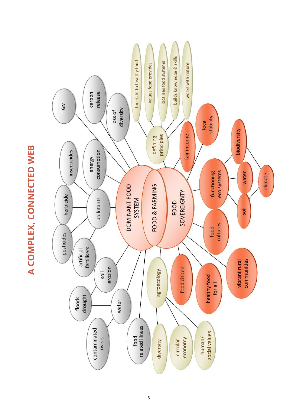builds knowledge & skills the right to healthy food localises food systems values food provides works with nature release carbon GM diversity loss of stability local biodiversity fair income principles defining insecticides consumption energy eco systems functioning water climate FOOD & FARMING **DOMINANT FOOD** SOVEREIGNTY herbicide pollutants SYSTEM FOOD soil cultures food pesticides fertilisers artificial communities vibrant rural erosion food citizen agroecology soil healthy food for all floods<br>drought water related illness contaminated social values food rivers human/ economy diversity circular

# A COMPLEX, CONNECTED WEB **A COMPLEX, CONNECTED WEB**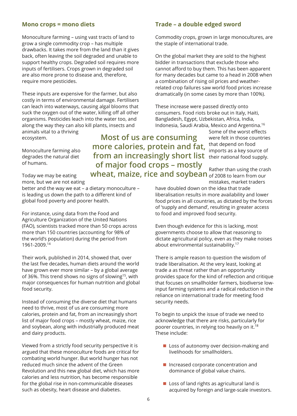#### **Mono crops = mono diets**

Monoculture farming – using vast tracts of land to grow a single commodity crop – has multiple drawbacks. It takes more from the land than it gives back, often leaving the soil degraded and unable to support healthy crops. Degraded soil requires more inputs of fertilisers. Crops grown in degraded soil are also more prone to disease and, therefore, require more pesticides.

These inputs are expensive for the farmer, but also costly in terms of environmental damage. Fertilisers can leach into waterways, causing algal blooms that suck the oxygen out of the water, killing off all other organisms. Pesticides leach into the water too, and along the way they can also kill plants, insects and

animals vital to a thriving ecosystem.

Monoculture farming also degrades the natural diet of humans.

from an increasingly short list their national food supply. **wheat, maize, rice and soybean** of 2008 to learn from our **Most of us are consuming more calories, protein and fat, of major food crops – mostly**

Today we may be eating more, but we are not eating

better and the way we eat – a dietary monoculture – is leading us down the path to a different kind of global food poverty and poorer health.

For instance, using data from the Food and Agriculture Organization of the United Nations (FAO), scientists tracked more than 50 crops across more than 150 countries (accounting for 98% of the world's population) during the period from 1961-2009. 14

Their work, published in 2014, showed that, over the last five decades, human diets around the world have grown ever more similar – by a global average of 36%. This trend shows no signs of slowing<sup>15</sup>, with major consequences for human nutrition and global food security.

Instead of consuming the diverse diet that humans need to thrive, most of us are consuming more calories, protein and fat, from an increasingly short list of major food crops – mostly wheat, maize, rice and soybean, along with industrially produced meat and dairy products.

Viewed from a strictly food security perspective it is argued that these monoculture foods are critical for combating world hunger. But world hunger has not reduced much since the advent of the Green Revolution and this new global diet, which has more calories and less nutrition, has become responsible for the global rise in non-communicable diseases such as obesity, heart disease and diabetes.

#### **Trade – a double edged sword**

Commodity crops, grown in large monocultures, are the staple of international trade.

On the global market they are sold to the highest bidder in transactions that exclude those who cannot afford to buy them. This has been apparent for many decades but came to a head in 2008 when a combination of rising oil prices and weatherrelated crop failures saw world food prices increase dramatically (in some cases by more than 100%).

These increase were passed directly onto consumers. Food riots broke out in Italy, Haiti, Bangladesh, Egypt, Uzbekistan, Africa, India, Indonesia, Saudi Arabia, Mexico and Argentina. 16

Some of the worst effects were felt in those countries that depend on food imports as a key source of

Rather than using the crash mistakes, market traders

have doubled down on the idea that trade liberalisation results in more availability and lower food prices in all countries, as dictated by the forces of 'supply and demand', resulting in greater access to food and improved food security.

Even though evidence for this is lacking, most governments choose to allow that reasoning to dictate agricultural policy, even as they make noises about environmental sustainability. 17

There is ample reason to question the wisdom of trade liberalisation. At the very least, looking at trade a as threat rather than an opportunity provides space for the kind of reflection and critique that focuses on smallholder farmers, biodiverse lowinput farming systems and a radical reduction in the reliance on international trade for meeting food security needs.

To begin to unpick the issue of trade we need to acknowledge that there are risks, particularly for poorer countries, in relying too heavily on it. 18 These include:

- **Loss of autonomy over decision-making and** livelihoods for smallholders.
- Increased corporate concentration and dominance of global value chains.
- $\blacksquare$  Loss of land rights as agricultural land is acquired by foreign and large-scale investors.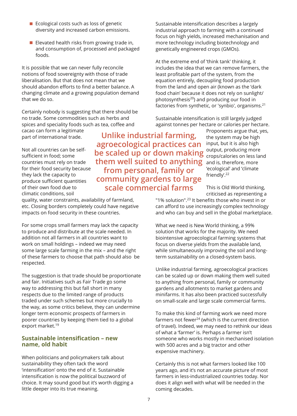- $\blacksquare$  Ecological costs such as loss of genetic diversity and increased carbon emissions.
- Elevated health risks from growing trade in, and consumption of, processed and packaged foods.

It is possible that we can never fully reconcile notions of food sovereignty with those of trade liberalisation. But that does not mean that we should abandon efforts to find a better balance. A changing climate and a growing population demand that we do so.

Certainly nobody is suggesting that there should be no trade. Some commodities such as herbs and spices and speciality foods such as tea, coffee and cacao can form a legitimate **Unlike industrial farming,**

part of international trade.

Not all countries can be selfsufficient in food; some countries must rely on trade for their food security because they lack the capacity to produce sufficient quantities of their own food due to climatic conditions, soil

quality, water constraints, availability of farmland, etc. Closing borders completely could have negative impacts on food security in these countries.

For some crops small farmers may lack the capacity to produce and distribute at the scale needed. In addition not all farmers in all countries want to work on small holdings – indeed we may need some large scale farming in the mix – and the right of these farmers to choose that path should also be respected.

The suggestion is that trade should be proportionate and fair. Initiatives such as Fair Trade go some way to addressing this but fall short in many respects due to the limited range of products traded under such schemes but more crucially to the way, as some critics believe, they can undermine longer term economic prospects of farmers in poorer countries by keeping them tied to a global export market. 19

#### **Sustainable intensification – new name, old habit**

When politicians and policymakers talk about sustainability they often tack the word 'intensification' onto the end of it. Sustainable intensification is now the political buzzword of choice. It may sound good but it's worth digging a little deeper into its true meaning.

Sustainable intensification describes a largely industrial approach to farming with a continued focus on high yields, increased mechanisation and more technology including biotechnology and genetically engineered crops (GMOs).

At the extreme end of 'think tank' thinking, it includes the idea that we can remove farmers, the least profitable part of the system, from the equation entirely, decoupling food production from the land and open air (known as the 'dark food chain' because it does not rely on sunlight/ photosynthesis 20 ) and producing our food in factories from synthetic, or 'synbio', organisms. 21

Sustainable intensification is still largely judged against tonnes per hectare or calories per hectare.

Proponents argue that, yes, the system may be high input, but it is also high output, producing more crops/calories on less land and is, therefore, more 'ecological' and 'climate friendly'. 22

This is Old World thinking, criticised as representing a

"1% solution". 23 It benefits those who invest in or can afford to use increasingly complex technology and who can buy and sell in the global marketplace.

What we need is New World thinking, a 99% solution that works for the majority. We need biointensive agroecological farming systems that focus on diverse yields from the available land, while simultaneously improving the soil and longterm sustainability on a closed-system basis.

Unlike industrial farming, agroecological practices can be scaled up or down making them well suited to anything from personal, family or community gardens and allotments to market gardens and minifarms. It has also been practiced successfully on small-scale and large scale commercial farms.

To make this kind of farming work we need more farmers not fewer<sup>24</sup> (which is the current direction of travel). Indeed, we may need to rethink our ideas of what a 'farmer' is. Perhaps a farmer isn't someone who works mostly in mechanised isolation with 500 acres and a big tractor and other expensive machinery.

Certainly this is not what farmers looked like 100 years ago, and it's not an accurate picture of most farmers in less-industrialized countries today. Nor does it align well with what will be needed in the coming decades.

**agroecological practices can be scaled up or down making them well suited to anything from personal, family or community gardens to large scale commercial farms**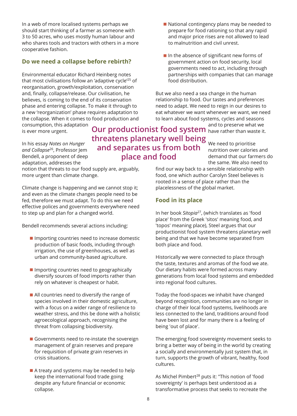In a web of more localised systems perhaps we should start thinking of a farmer as someone with 3 to 50 acres, who uses mostly human labour and who shares tools and tractors with others in a more cooperative fashion.

#### **Do we need a collapse before rebirth?**

Environmental educator Richard Heinberg notes that most civilisations follow an 'adaptive cycle' <sup>25</sup> of reorganisation, growth/exploitation, conservation and, finally, collapse/release. Our civilisation, he believes, is coming to the end of its conservation phase and entering collapse. To make it through to a new 'reorganization' phase requires adaptation to the collapse. When it comes to food production and

consumption, this adaptation is ever more urgent.

In his essay *Notes on Hunger and Collapse* 26 , Professor Jem Bendell, a proponent of deep adaptation, addresses the

notion that threats to our food supply are, arguably, more urgent than climate change.

Climate change is happening and we cannot stop it; and even as the climate changes people need to be fed, therefore we must adapt. To do this we need effective polices and governments everywhere need to step up and plan for a changed world.

Bendell recommends several actions including:

- **If** Importing countries need to increase domestic production of basic foods, including through irrigation, the use of greenhouses, as well as urban and community-based agriculture.
- **Importing countries need to geographically** diversify sources of food imports rather than rely on whatever is cheapest or habit.
- All countries need to diversify the range of species involved in their domestic agriculture, with a focus on a wider range of resilience to weather stress, and this be done with a holistic agroecological approach, recognising the threat from collapsing biodiversity.
- Governments need to re-instate the sovereign management of grain reserves and prepare for requisition of private grain reserves in crisis situations.
- A treaty and systems may be needed to help keep the international food trade going despite any future financial or economic collapse.
- $\blacksquare$  National contingency plans may be needed to prepare for food rationing so that any rapid and major price rises are not allowed to lead to malnutrition and civil unrest.
- $\blacksquare$  In the absence of significant new forms of government action on food security, local governments need to act, including through partnerships with companies that can manage food distribution.

But we also need a sea change in the human relationship to food. Our tastes and preferences need to adapt. We need to reign in our desires to eat whatever we want whenever we want, we need to learn about food systems, cycles and seasons

and to preserve what we **Our productionist food system** have rather than waste it.

> We need to prioritise nutrition over calories and demand that our farmers do the same. We also need to

find our way back to a sensible relationship with food, one which author Carolyn Steel believes is rooted in a sense of place rather than the placelessness of the global market.

#### **Food in its place**

**threatens planetary well being and separates us from both**

**place and food**

In her book *Sitopia* 27 , (which translates as 'food place' from the Greek 'sitos' meaning food, and 'topos' meaning place), Steel argues that our productionist food system threatens planetary well being and that we have become separated from both place and food.

Historically we were connected to place through the taste, textures and aromas of the food we ate. Our dietary habits were formed across many generations from local food systems and embedded into regional food cultures.

Today the food-spaces we inhabit have changed beyond recognition, communities are no longer in charge of their local food systems, livelihoods are less connected to the land, traditions around food have been lost and for many there is a feeling of being 'out of place'.

The emerging food sovereignty movement seeks to bring a better way of being in the world by creating a socially and environmentally just system that, in turn, supports the growth of vibrant, healthy, food cultures.

As Michel Pimbert <sup>28</sup> puts it: "This notion of 'food sovereignty' is perhaps best understood as a transformative process that seeks to recreate the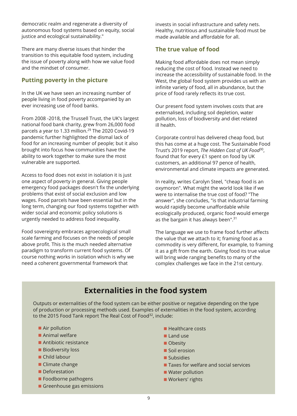democratic realm and regenerate a diversity of autonomous food systems based on equity, social justice and ecological sustainability."

There are many diverse issues that hinder the transition to this equitable food system, including the issue of poverty along with how we value food and the mindset of consumer.

#### **Putting poverty in the picture**

In the UK we have seen an increasing number of people living in food poverty accompanied by an ever increasing use of food banks.

From 2008 -2018, the Trussell Trust, the UK's largest national food bank charity, grew from 26,000 food parcels a year to 1.33 million. 29 The 2020 Covid-19 pandemic further highlighted the dismal lack of food for an increasing number of people; but it also brought into focus how communities have the ability to work together to make sure the most vulnerable are supported.

Access to food does not exist in isolation it is just one aspect of poverty in general. Giving people emergency food packages doesn't fix the underlying problems that exist of social exclusion and low wages. Food parcels have been essential but in the long term, changing our food systems together with wider social and economic policy solutions is urgently needed to address food inequality.

Food sovereignty embraces agroecological small scale farming and focuses on the needs of people above profit. This is the much needed alternative paradigm to transform current food systems. Of course nothing works in isolation which is why we need a coherent governmental framework that

invests in social infrastructure and safety nets. Healthy, nutritious and sustainable food must be made available and affordable for all.

#### **The true value of food**

Making food affordable does not mean simply reducing the cost of food. Instead we need to increase the accessibility of sustainable food. In the West, the global food system provides us with an infinite variety of food, all in abundance, but the price of food rarely reflects its true cost.

Our present food system involves costs that are externalised, including soil depletion, water pollution, loss of biodiversity and diet related ill health.

Corporate control has delivered cheap food, but this has come at a huge cost. The Sustainable Food Trust's 2019 report, *The Hidden Cost of UK Food* 30 , found that for every £1 spent on food by UK customers, an additional 97 pence of health, environmental and climate impacts are generated.

In reality, writes Carolyn Steel, "cheap food is an oxymoron". What might the world look like if we were to internalise the true cost of food? "The answer", she concludes, "is that industrial farming would rapidly become unaffordable while ecologically produced, organic food would emerge as the bargain it has always been". 31

The language we use to frame food further affects the value that we attach to it; framing food as a commodity is very different, for example, to framing it as a gift from the earth. Giving food its true value will bring wide ranging benefits to many of the complex challenges we face in the 21st century.

# **Externalities in the food system**

Outputs or externalities of the food system can be either positive or negative depending on the type of production or processing methods used. Examples of externalities in the food system, according to the 2015 Food Tank report The Real Cost of Food<sup>32</sup>, include:

- Air pollution
- **Animal welfare**
- Antibiotic resistance
- **Biodiversity loss**
- Child labour
- Climate change
- **Deforestation**
- **Foodborne pathogens**
- Greenhouse gas emissions
- $\blacksquare$  Healthcare costs
- Land use
- **Obesity**
- **Soil erosion**
- **Subsidies**
- Taxes for welfare and social services
- **Water pollution**
- **Workers' rights**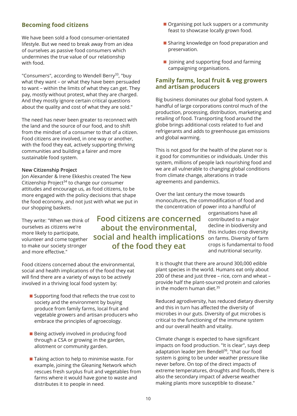#### **Becoming food citizens**

We have been sold a food consumer-orientated lifestyle. But we need to break away from an idea of ourselves as passive food consumers which undermines the true value of our relationship with food.

"Consumers", according to Wendell Berry<sup>33</sup>, "buy what they want – or what they have been persuaded to want – within the limits of what they can get. They pay, mostly without protest, what they are charged. And they mostly ignore certain critical questions about the quality and cost of what they are sold."

The need has never been greater to reconnect with the land and the source of our food, and to shift from the mindset of a consumer to that of a citizen. Food citizens are involved, in one way or another, with the food they eat, actively supporting thriving communities and building a fairer and more sustainable food system.

#### **New Citizenship Project**

Jon Alexander & Irene Ekkeshis created The New Citizenship Project<sup>34</sup> to change our consumer attitudes and encourage us, as food citizens, to be more engaged with the policy decisions that shape the food economy, and not just with what we put in our shopping baskets.

They write: "When we think of ourselves as citizens we're more likely to participate, volunteer and come together to make our society stronger and more effective."

Food citizens concerned about the environmental, social and health implications of the food they eat will find there are a variety of ways to be actively involved in a thriving local food system by:

- Supporting food that reflects the true cost to society and the environment by buying produce from family farms, local fruit and vegetable growers and artisan producers who embrace the principles of agroecology.
- **Being actively involved in producing food** through a CSA or growing in the garden, allotment or community garden.
- Taking action to help to minimise waste. For example, joining the Gleaning Network which rescues fresh surplus fruit and vegetables from farms where it would have gone to waste and distributes it to people in need.
- Organising pot luck suppers or a community feast to showcase locally grown food.
- **Sharing knowledge on food preparation and** preservation.
- $\blacksquare$  Joining and supporting food and farming campaigning organisations.

#### **Family farms, local fruit & veg growers and artisan producers**

Big business dominates our global food system. A handful of large corporations control much of the production, processing, distribution, marketing and retailing of food. Transporting food around the globe brings additional costs related to fuel and refrigerants and adds to greenhouse gas emissions and global warming.

This is not good for the health of the planet nor is it good for communities or individuals. Under this system, millions of people lack nourishing food and we are all vulnerable to changing global conditions from climate change, alterations in trade agreements and pandemics.

Over the last century the move towards monocultures, the commodification of food and the concentration of power into a handful of

organisations have all contributed to a major decline in biodiversity and this includes crop diversity **social and health implications** on farms. Diversity of farm crops is fundamental to food and nutritional security.

> It is thought that there are around 300,000 edible plant species in the world. Humans eat only about 200 of these and just three – rice, corn and wheat – provide half the plant-sourced protein and calories in the modern human diet. 35

Reduced agrodiversity, has reduced dietary diversity and this in turn has affected the diversity of microbes in our guts. Diversity of gut microbes is critical to the functioning of the immune system and our overall health and vitality.

Climate change is expected to have significant impacts on food production. "It is clear", says deep adaptation leader Jem Bendell 36 , "that our food system is going to be under weather pressure like never before. On top of the direct impacts of extreme temperatures, droughts and floods, there is also the secondary impact of adverse weather making plants more susceptible to disease."

**Food citizens are concerned about the environmental,**

**of the food they eat**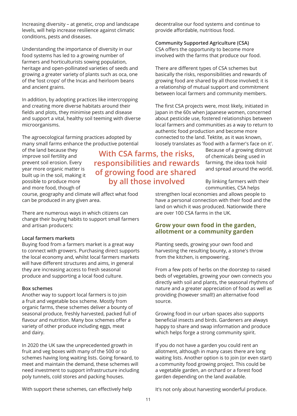Increasing diversity – at genetic, crop and landscape levels, will help increase resilience against climatic conditions, pests and diseases.

Understanding the importance of diversity in our food systems has led to a growing number of farmers and horticulturists sowing population, heritage and open-pollinated varieties of seeds and growing a greater variety of plants such as oca, one of the 'lost crops' of the Incas and heirloom beans and ancient grains.

In addition, by adopting practices like intercropping and creating more diverse habitats around their fields and plots, they minimise pests and disease and support a vital, healthy soil teeming with diverse microorganisms.

The agroecological farming practices adopted by many small farms enhance the productive potential

of the land because they improve soil fertility and prevent soil erosion. Every year more organic matter is built up in the soil, making it possible to produce more and more food, though of

course, geography and climate will affect what food can be produced in any given area.

There are numerous ways in which citizens can change their buying habits to support small farmers and artisan producers:

#### **Local farmers markets**

Buying food from a farmers market is a great way to connect with growers. Purchasing direct supports the local economy and, whilst local farmers markets will have different structures and aims, in general they are increasing access to fresh seasonal produce and supporting a local food culture.

#### **Box schemes**

Another way to support local farmers is to join a fruit and vegetable box scheme. Mostly from organic farms, these schemes deliver a bounty of seasonal produce, freshly harvested, packed full of flavour and nutrition. Many box schemes offer a variety of other produce including eggs, meat and dairy.

In 2020 the UK saw the unprecedented growth in fruit and veg boxes with many of the 500 or so schemes having long waiting lists. Going forward, to meet and maintain the demand, these schemes will need investment to support infrastructure including poly tunnels, cold stores and packing houses.

decentralise our food systems and continue to provide affordable, nutritious food.

#### **Community Supported Agriculture (CSA)**

CSA offers the opportunity to become more involved with the farms that produce our food.

There are different types of CSA schemes but basically the risks, responsibilities and rewards of growing food are shared by all those involved; it is a relationship of mutual support and commitment between local farmers and community members.

The first CSA projects were, most likely, initiated in Japan in the 60s when Japanese women, concerned about pesticide use, fostered relationships between local farmers and communities as a way to return to authentic food production and become more connected to the land. Tektite, as it was known, loosely translates as 'food with a farmer's face on it'.

> Because of a growing distrust of chemicals being used in farming, the idea took hold and spread around the world.

By linking farmers with their communities, CSA helps

strengthen local economies and allows people to have a personal connection with their food and the land on which it was produced. Nationwide there are over 100 CSA farms in the UK.

#### **Grow your own food in the garden, allotment or a community garden**

Planting seeds, growing your own food and harvesting the resulting bounty, a stone's throw from the kitchen, is empowering.

From a few pots of herbs on the doorstep to raised beds of vegetables, growing your own connects you directly with soil and plants, the seasonal rhythms of nature and a greater appreciation of food as well as providing (however small!) an alternative food source.

Growing food in our urban spaces also supports beneficial insects and birds. Gardeners are always happy to share and swap information and produce which helps forge a strong community spirit.

If you do not have a garden you could rent an allotment, although in many cases there are long waiting lists. Another option is to join (or even start) a community food growing project. This could be a vegetable garden, an orchard or a forest food garden depending on the land available.

With support these schemes, can effectively help

It's not only about harvesting wonderful produce.

**With CSA farms, the risks, responsibilities and rewards of growing food are shared by all those involved**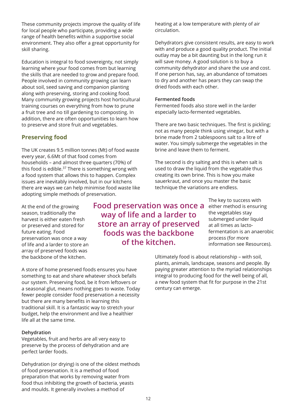These community projects improve the quality of life for local people who participate, providing a wide range of health benefits within a supportive social environment. They also offer a great opportunity for skill sharing.

Education is integral to food sovereignty, not simply learning where your food comes from but learning the skills that are needed to grow and prepare food. People involved in community growing can learn about soil, seed saving and companion planting along with preserving, storing and cooking food. Many community growing projects host horticultural training courses on everything from how to prune a fruit tree and no till gardening to composting. In addition, there are often opportunities to learn how to preserve and store fruit and vegetables.

#### **Preserving food**

The UK creates 9.5 million tonnes (Mt) of food waste every year, 6.6Mt of that food comes from households – and almost three quarters (70%) of this food is edible. 37 There is something wrong with a food system that allows this to happen. Complex issues are inevitably involved, but in our kitchens there are ways we can help minimise food waste like adopting simple methods of preservation.

At the end of the growing season, traditionally the harvest is either eaten fresh or preserved and stored for future eating. Food preservation was once a way of life and a larder to store an array of preserved foods was the backbone of the kitchen.

**Food preservation was once a way of life and a larder to store an array of preserved foods was the backbone of the kitchen.**

heating at a low temperature with plenty of air circulation.

Dehydrators give consistent results, are easy to work with and produce a good quality product. The initial outlay may be a bit daunting but in the long run it will save money. A good solution is to buy a community dehydrator and share the use and cost. If one person has, say, an abundance of tomatoes to dry and another has pears they can swap the dried foods with each other.

#### **Fermented foods**

Fermented foods also store well in the larder especially lacto-fermented vegetables.

There are two basic techniques. The first is pickling; not as many people think using vinegar, but with a brine made from 2 tablespoons salt to a litre of water. You simply submerge the vegetables in the brine and leave them to ferment.

The second is dry salting and this is when salt is used to draw the liquid from the vegetable thus creating its own brine. This is how you make sauerkraut, and once you master the basic technique the variations are endless.

> The key to success with either method is ensuring the vegetables stay submerged under liquid at all times as lactofermentation is an anaerobic process (for more information see Resources).

Ultimately food is about relationship – with soil, plants, animals, landscape, seasons and people. By paying greater attention to the myriad relationships integral to producing food for the well being of all, a new food system that fit for purpose in the 21st century can emerge.

A store of home preserved foods ensures you have something to eat and share whatever shock befalls our system. Preserving food, be it from leftovers or a seasonal glut, means nothing goes to waste. Today fewer people consider food preservation a necessity but there are many benefits in learning this traditional skill. It is a fantastic way to stretch your budget, help the environment and live a healthier life all at the same time.

#### **Dehydration**

Vegetables, fruit and herbs are all very easy to preserve by the process of dehydration and are perfect larder foods.

Dehydration (or drying) is one of the oldest methods of food preservation. It is a method of food preparation that works by removing water from food thus inhibiting the growth of bacteria, yeasts and moulds. It generally involves a method of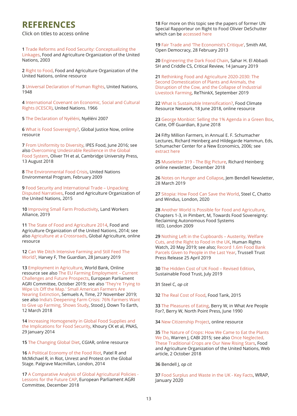# **REFERENCES**

Click on titles to access online

**1** Trade Reforms and Food Security: Conceptualizing the

Linkages, Food and Agriculture [Organization](#page-0-0) of the United Nations, 2003

**2** Right to [Food,](#page-0-0) Food and Agriculture Organization of the United Nations, online resource

**3** Universal [Declaration](#page-0-0) of Human Rights, United Nations, 1948

**4** [International](#page-0-0) Covenant on Economic, Social and Cultural Rights (ICESCR), United Nations. 1966

**5** The [Declaration](#page-0-0) of Nyéléni, Nyéléni 2007

**6** What is Food [Sovereignty?,](#page-0-0) Global Justice Now, online resource

**7** From [Uniformity](#page-0-0) to Diversity, IPES Food, June 2016; see also Overcoming Undesirable Resilience in the Global Food System, Oliver TH et al, [Cambridge](#page-0-0) University Press, 13 August 2018

**8** The [Environmental](#page-0-0) Food Crisis, United Nations Environmental Program, February 2009

**9** Food Security and [International](#page-0-0) Trade – Unpacking Disputed Narratives, Food and Agriculture Organization of the United Nations, 2015

**10** Improving Small Farm [Productivity](#page-0-0), Land Workers Alliance, 2019

**11** The State of Food and [Agriculture](#page-0-0) 2014, Food and Agriculture Organization of the United Nations, 2014; see also [Agriculture](#page-0-0) at a Crossroads, Global Agriculture, online resource

**12** Can We Ditch Intensive Farming and Still Feed The World?, Harvey F, The [Guardian,](#page-0-0) 28 January 2019

**13** [Employment](#page-0-0) in Agriculture, World Bank, Online resource see also The EU Farming [Employment](#page-0-0) – Current Challenges and Future Prospects, European Parliament AGRI Committee, October 2019; see also 'They're Trying to Wipe Us Off the Map.' Small American Farmers Are Nearing Extinction, Semuels A, Time, 27 [November](#page-0-0) 2019; see also India's [Deepening](#page-0-0) Farm Crisis: 76% Farmers Want to Give up Farming, Shows Study, Stood J, Down To Earth, 12 March 2018

**14** Increasing [Homogeneity](#page-0-0) in Global Food Supplies and the Implications for Food Security, Khoury CK et al, PNAS, 29 January 2014

**15** The [Changing](#page-0-0) Global Diet, CGIAR, online resource

**16** A Political [Economy](#page-0-0) of the Food Riot, Patel R and McMichael R, in Riot, Unrest and Protest on the Global Stage. Palgrave Macmillan, London, 2014

**17** A Comparative Analysis of Global Agricultural Policies - Lessons for the Future CAP, European [Parliament](#page-0-0) AGRI Committee, December 2018

**18** For more on this topic see the papers of former UN Special Rapporteur on Right to Food Olivier DeSchutter which can be [accessed](#page-0-0) here

**19** Fair Trade and 'The [Economist's](#page-0-0) Critique', Smith AM, Open Democracy, 28 February 2013

**20** [Engineering](#page-0-0) the Dark Food Chain, Sahar H. El Abbadi SH and Criddle CS, Critical Review, 14 January 2019

**21** Rethinking Food and Agriculture 2020-2030: The Second [Domestication](#page-0-0) of Plants and Animals, the Disruption of the Cow, and the Collapse of Industrial Livestock Farming, ReThinkX, September 2019

**22** What is Sustainable [Intensification?,](#page-0-0) Food Climate Resource Network, 18 June 2018, online resource

**23** George [Monbiot:](#page-0-0) Selling the 1% Agenda in a Green Box, Catte, Off Guardian, 8 June 2018

**24** Fifty Million Farmers, in Annual E. F. Schumacher Lectures, Richard Heinberg and Hildegarde Hammun, Eds, Schumacher Center for a New Economics, 2006; see [extract](#page-0-0) here

**25** [Museletter](#page-0-0) 319 - The Big Picture, Richard Heinberg online newsletter, December 2018

**26** Notes on Hunger and [Collapse,](#page-0-0) Jem Bendell Newsletter, 28 March 2019

**27** [Sitopia:](#page-0-0) How Food Can Save the World, Steel C, Chatto and Windus, London, 2020

**28** Another World is Possible for Food and [Agriculture](#page-0-0), Chapters 1-3, in Pimbert, M, Towards Food Sovereignty: Reclaiming Autonomous Food Systems IIED, London 2009

**29** Nothing Left in the [Cupboards](#page-0-0) – Austerity, Welfare Cuts, and the Right to Food in the UK, Human Rights Watch, 20 May 2019; see also; [Record](#page-0-0) 1.6m Food Bank Parcels Given to People in the Last Year, Trussell Trust Press Release 25 April 2019

**30** The Hidden Cost of UK Food – [Revised](#page-0-0) Edition, Sustainable Food Trust, July 2019

**31** Steel C, *op cit*

**32** The Real Cost of [Food,](#page-0-0) Food Tank, 2015

**33** The [Pleasures](#page-0-0) of Eating, Berry W, in What Are People For?, Berry W, North Point Press, June 1990

**34** New [Citizenship](#page-0-0) Project, online resource

**35** The [Nature](#page-0-0) of Crops: How We Came to Eat the Plants We Do, Warren J, CABI 2015; see also Once Neglected, These [Traditional](#page-0-0) Crops are Our New Rising Stars, Food and Agriculture Organization of the United Nations, Web article, 2 October 2018

**36** Bendell J, *op cit*

**37** Food [Surplus](#page-0-0) and Waste in the UK - Key Facts, WRAP, January 2020